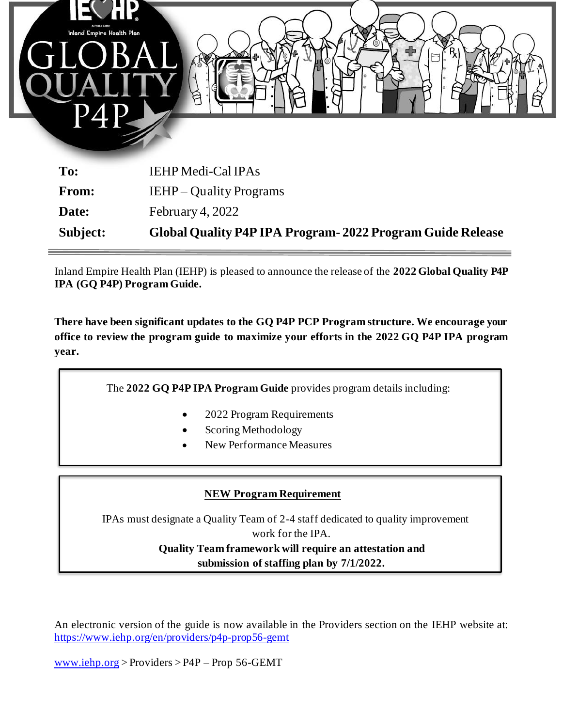

| Subject:     | Global Quality P4P IPA Program - 2022 Program Guide Release |
|--------------|-------------------------------------------------------------|
| Date:        | February 4, $2022$                                          |
| <b>From:</b> | IEHP – Quality Programs                                     |
| To:          | <b>IEHP Medi-Cal IPAs</b>                                   |

Inland Empire Health Plan (IEHP) is pleased to announce the release of the **2022 Global Quality P4P IPA (GQ P4P) Program Guide.**

**There have been significant updates to the GQ P4P PCP Program structure. We encourage your office to review the program guide to maximize your efforts in the 2022 GQ P4P IPA program year.**

The **2022 GQ P4P IPA Program Guide** provides program details including:

- 2022 Program Requirements
- Scoring Methodology
- New Performance Measures

## **NEW Program Requirement**

IPAs must designate a Quality Team of 2-4 staff dedicated to quality improvement work for the IPA. **Quality Team framework will require an attestation and submission of staffing plan by 7/1/2022.**

An electronic version of the guide is now available in the Providers section on the IEHP website at: <https://www.iehp.org/en/providers/p4p-prop56-gemt>

[www.iehp.org](http://www.iehp.org/) > Providers > P4P – Prop 56-GEMT